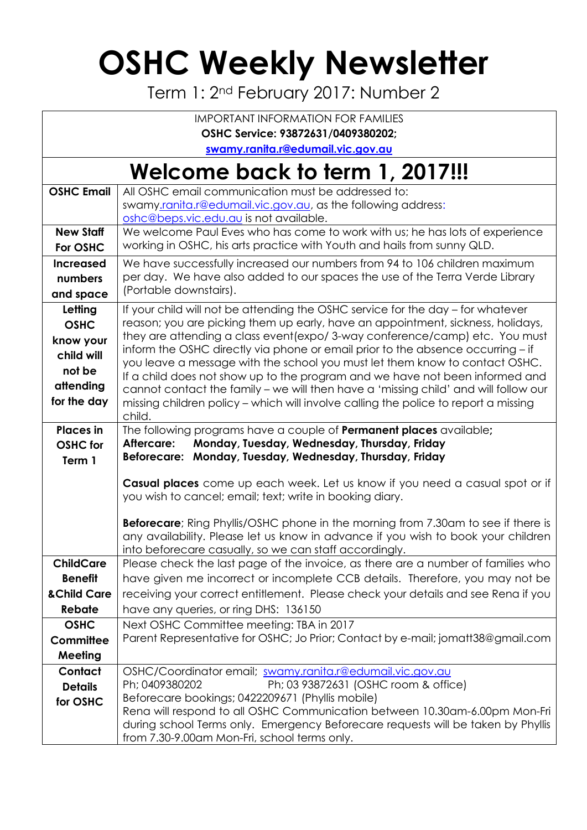## **OSHC Weekly Newsletter**

Term 1: 2nd February 2017: Number 2

| <b>IMPORTANT INFORMATION FOR FAMILIES</b>                                               |                                                                                                                                                                                                                                                                                                                                                                                                                                                                                                                                                                                                                                                                                             |  |  |  |  |  |
|-----------------------------------------------------------------------------------------|---------------------------------------------------------------------------------------------------------------------------------------------------------------------------------------------------------------------------------------------------------------------------------------------------------------------------------------------------------------------------------------------------------------------------------------------------------------------------------------------------------------------------------------------------------------------------------------------------------------------------------------------------------------------------------------------|--|--|--|--|--|
| OSHC Service: 93872631/0409380202;                                                      |                                                                                                                                                                                                                                                                                                                                                                                                                                                                                                                                                                                                                                                                                             |  |  |  |  |  |
| swamy.ranita.r@edumail.vic.gov.au                                                       |                                                                                                                                                                                                                                                                                                                                                                                                                                                                                                                                                                                                                                                                                             |  |  |  |  |  |
| Welcome back to term 1, 2017!!!                                                         |                                                                                                                                                                                                                                                                                                                                                                                                                                                                                                                                                                                                                                                                                             |  |  |  |  |  |
| <b>OSHC Email</b>                                                                       | All OSHC email communication must be addressed to:<br>swamy.ranita.r@edumail.vic.gov.au, as the following address:<br>oshc@beps.vic.edu.au is not available.                                                                                                                                                                                                                                                                                                                                                                                                                                                                                                                                |  |  |  |  |  |
| <b>New Staff</b><br>For OSHC                                                            | We welcome Paul Eves who has come to work with us; he has lots of experience<br>working in OSHC, his arts practice with Youth and hails from sunny QLD.                                                                                                                                                                                                                                                                                                                                                                                                                                                                                                                                     |  |  |  |  |  |
| <b>Increased</b><br>numbers<br>and space                                                | We have successfully increased our numbers from 94 to 106 children maximum<br>per day. We have also added to our spaces the use of the Terra Verde Library<br>(Portable downstairs).                                                                                                                                                                                                                                                                                                                                                                                                                                                                                                        |  |  |  |  |  |
| Letting<br><b>OSHC</b><br>know your<br>child will<br>not be<br>attending<br>for the day | If your child will not be attending the OSHC service for the day – for whatever<br>reason; you are picking them up early, have an appointment, sickness, holidays,<br>they are attending a class event (expo/3-way conference/camp) etc. You must<br>inform the OSHC directly via phone or email prior to the absence occurring - if<br>you leave a message with the school you must let them know to contact OSHC.<br>If a child does not show up to the program and we have not been informed and<br>cannot contact the family - we will then have a 'missing child' and will follow our<br>missing children policy - which will involve calling the police to report a missing<br>child. |  |  |  |  |  |
| <b>Places</b> in<br><b>OSHC</b> for<br>Term 1                                           | The following programs have a couple of <b>Permanent places</b> available;<br>Monday, Tuesday, Wednesday, Thursday, Friday<br>Aftercare:<br>Beforecare: Monday, Tuesday, Wednesday, Thursday, Friday                                                                                                                                                                                                                                                                                                                                                                                                                                                                                        |  |  |  |  |  |
|                                                                                         | Casual places come up each week. Let us know if you need a casual spot or if<br>you wish to cancel; email; text; write in booking diary.                                                                                                                                                                                                                                                                                                                                                                                                                                                                                                                                                    |  |  |  |  |  |
|                                                                                         | <b>Beforecare</b> ; Ring Phyllis/OSHC phone in the morning from 7.30am to see if there is<br>any availability. Please let us know in advance if you wish to book your children<br>into beforecare casually, so we can staff accordingly.                                                                                                                                                                                                                                                                                                                                                                                                                                                    |  |  |  |  |  |
| <b>ChildCare</b>                                                                        | Please check the last page of the invoice, as there are a number of families who                                                                                                                                                                                                                                                                                                                                                                                                                                                                                                                                                                                                            |  |  |  |  |  |
| <b>Benefit</b>                                                                          | have given me incorrect or incomplete CCB details. Therefore, you may not be                                                                                                                                                                                                                                                                                                                                                                                                                                                                                                                                                                                                                |  |  |  |  |  |
| & Child Care                                                                            | receiving your correct entitlement. Please check your details and see Rena if you                                                                                                                                                                                                                                                                                                                                                                                                                                                                                                                                                                                                           |  |  |  |  |  |
| Rebate                                                                                  | have any queries, or ring DHS: 136150                                                                                                                                                                                                                                                                                                                                                                                                                                                                                                                                                                                                                                                       |  |  |  |  |  |
| <b>OSHC</b>                                                                             | Next OSHC Committee meeting: TBA in 2017                                                                                                                                                                                                                                                                                                                                                                                                                                                                                                                                                                                                                                                    |  |  |  |  |  |
| Committee                                                                               | Parent Representative for OSHC; Jo Prior; Contact by e-mail; jomatt38@gmail.com                                                                                                                                                                                                                                                                                                                                                                                                                                                                                                                                                                                                             |  |  |  |  |  |
| Meeting                                                                                 |                                                                                                                                                                                                                                                                                                                                                                                                                                                                                                                                                                                                                                                                                             |  |  |  |  |  |
| Contact<br><b>Details</b><br>for OSHC                                                   | OSHC/Coordinator email; swamy.ranita.r@edumail.vic.gov.au<br>Ph; 0409380202<br>Ph; 03 93872631 (OSHC room & office)<br>Beforecare bookings; 0422209671 (Phyllis mobile)<br>Rena will respond to all OSHC Communication between 10.30am-6.00pm Mon-Fri<br>during school Terms only. Emergency Beforecare requests will be taken by Phyllis<br>from 7.30-9.00am Mon-Fri, school terms only.                                                                                                                                                                                                                                                                                                   |  |  |  |  |  |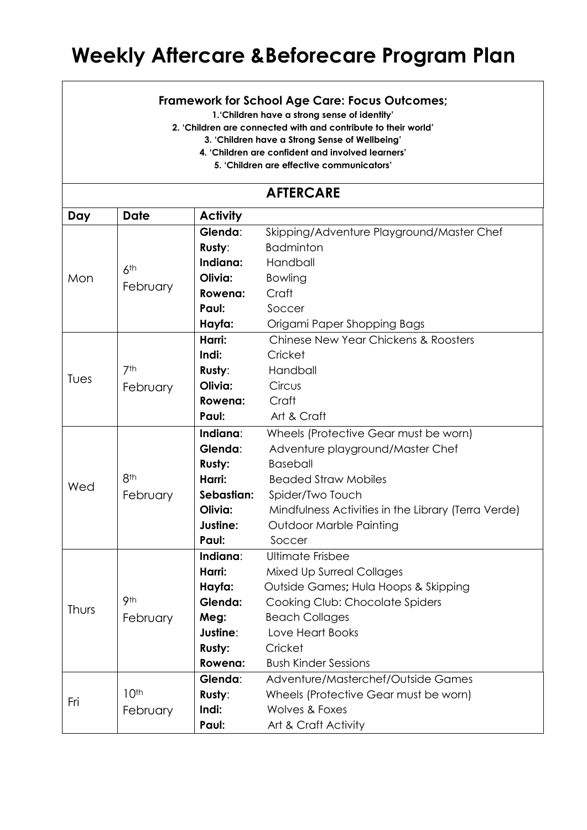## **Weekly Aftercare &Beforecare Program Plan**

## **Framework for School Age Care: Focus Outcomes;**

**1.'Children have a strong sense of identity'**

**2. 'Children are connected with and contribute to their world'**

**3. 'Children have a Strong Sense of Wellbeing'**

**4. 'Children are confident and involved learners'**

**5. 'Children are effective communicators'**

## **AFTERCARE**

| Day   | <b>Date</b>                 | <b>Activity</b> |                                                          |  |  |
|-------|-----------------------------|-----------------|----------------------------------------------------------|--|--|
| Mon   |                             | Glenda:         | Skipping/Adventure Playground/Master Chef                |  |  |
|       |                             | Rusty:          | <b>Badminton</b>                                         |  |  |
|       | 6 <sup>th</sup><br>February | Indiana:        | Handball                                                 |  |  |
|       |                             | Olivia:         | Bowling                                                  |  |  |
|       |                             | Rowena:         | Craft                                                    |  |  |
|       |                             | Paul:           | Soccer                                                   |  |  |
|       |                             | Hayfa:          | Origami Paper Shopping Bags                              |  |  |
| Tues  |                             | Harri:          | <b>Chinese New Year Chickens &amp; Roosters</b>          |  |  |
|       |                             | Indi:           | Cricket                                                  |  |  |
|       | 7th                         | Rusty:          | Handball                                                 |  |  |
|       | February                    | Olivia:         | Circus                                                   |  |  |
|       |                             | Rowena:         | Craft                                                    |  |  |
|       |                             | Paul:           | Art & Craft                                              |  |  |
|       |                             | Indiana:        | Wheels (Protective Gear must be worn)                    |  |  |
|       |                             | Glenda:         | Adventure playground/Master Chef                         |  |  |
|       |                             | <b>Rusty:</b>   | <b>Baseball</b>                                          |  |  |
| Wed   | 8 <sup>th</sup>             | Harri:          | <b>Beaded Straw Mobiles</b><br>Spider/Two Touch          |  |  |
|       | February                    | Sebastian:      |                                                          |  |  |
|       |                             | Olivia:         | Mindfulness Activities in the Library (Terra Verde)      |  |  |
|       |                             | Justine:        | <b>Outdoor Marble Painting</b>                           |  |  |
|       |                             | Paul:           | Soccer                                                   |  |  |
|       |                             | Indiana:        | <b>Ultimate Frisbee</b>                                  |  |  |
| Thurs |                             | Harri:          | <b>Mixed Up Surreal Collages</b>                         |  |  |
|       |                             | Hayfa:          | Outside Games; Hula Hoops & Skipping                     |  |  |
|       | 9th                         | Glenda:         | Cooking Club: Chocolate Spiders<br><b>Beach Collages</b> |  |  |
|       | February                    | Meg:            |                                                          |  |  |
|       |                             | Justine:        | Love Heart Books                                         |  |  |
|       |                             | Rusty:          | Cricket                                                  |  |  |
|       |                             | Rowena:         | <b>Bush Kinder Sessions</b>                              |  |  |
| Fri   |                             | Glenda:         | Adventure/Masterchef/Outside Games                       |  |  |
|       | 10 <sup>th</sup>            | Rusty:          | Wheels (Protective Gear must be worn)                    |  |  |
|       | February                    | Indi:           | <b>Wolves &amp; Foxes</b>                                |  |  |
|       | Paul:                       |                 | Art & Craft Activity                                     |  |  |